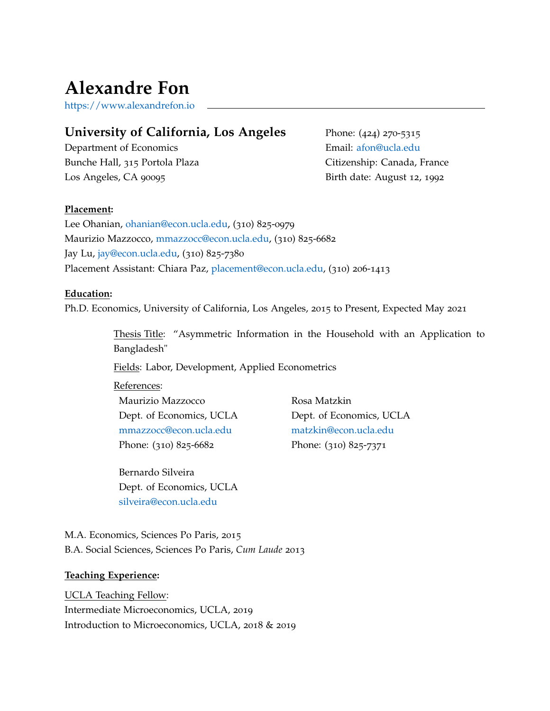# **Alexandre Fon**

[https://www.alexandrefon.io](https://www.alexandrefon.io )

# **University of California, Los Angeles**

Department of Economics Bunche Hall, 315 Portola Plaza Los Angeles, CA 90095

Phone: (424) 270-5315 Email: [afon@ucla.edu](mailto:afon@ucla.edu) Citizenship: Canada, France Birth date: August 12, 1992

## **Placement:**

Lee Ohanian, [ohanian@econ.ucla.edu,](mailto:ohanian@econ.ucla.edu) (310) 825-0979 Maurizio Mazzocco, [mmazzocc@econ.ucla.edu,](mailto:mmazzocc@econ.ucla.edu) (310) 825-6682 Jay Lu, [jay@econ.ucla.edu,](mailto:jay@econ.ucla.edu) (310) 825-7380 Placement Assistant: Chiara Paz, [placement@econ.ucla.edu,](mailto: placement@econ.ucla.edu) (310) 206-1413

## **Education:**

Ph.D. Economics, University of California, Los Angeles, 2015 to Present, Expected May 2021

Thesis Title: "Asymmetric Information in the Household with an Application to Bangladesh"

Fields: Labor, Development, Applied Econometrics

References: Maurizio Mazzocco Dept. of Economics, UCLA [mmazzocc@econ.ucla.edu](mailto:mmazzocc@econ.ucla.edu) Phone: (310) 825-6682

Rosa Matzkin Dept. of Economics, UCLA [matzkin@econ.ucla.edu](mailto:matzkin@econ.ucla.edu) Phone: (310) 825-7371

Bernardo Silveira Dept. of Economics, UCLA [silveira@econ.ucla.edu](mailto:silveira@econ.ucla.edu)

M.A. Economics, Sciences Po Paris, 2015 B.A. Social Sciences, Sciences Po Paris, *Cum Laude* 2013

#### **Teaching Experience:**

UCLA Teaching Fellow: Intermediate Microeconomics, UCLA, 2019 Introduction to Microeconomics, UCLA, 2018 & 2019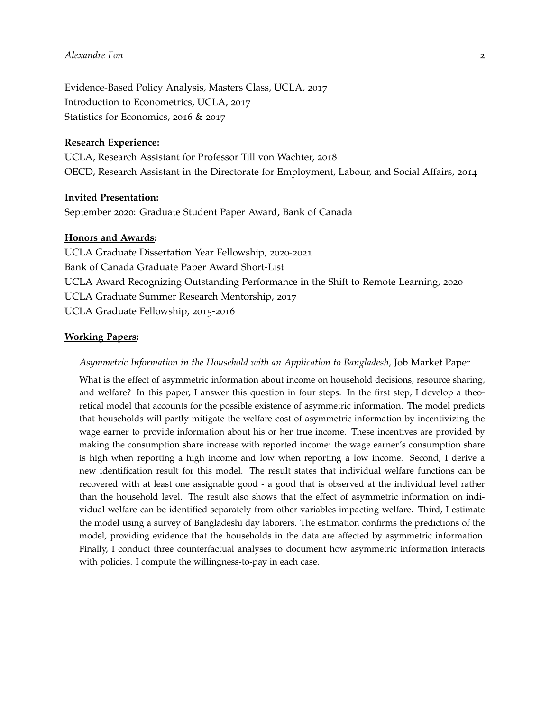# *Alexandre Fon* 2

Evidence-Based Policy Analysis, Masters Class, UCLA, 2017 Introduction to Econometrics, UCLA, 2017 Statistics for Economics, 2016 & 2017

#### **Research Experience:**

UCLA, Research Assistant for Professor Till von Wachter, 2018 OECD, Research Assistant in the Directorate for Employment, Labour, and Social Affairs, 2014

#### **Invited Presentation:**

September 2020: Graduate Student Paper Award, Bank of Canada

#### **Honors and Awards:**

UCLA Graduate Dissertation Year Fellowship, 2020-2021 Bank of Canada Graduate Paper Award Short-List UCLA Award Recognizing Outstanding Performance in the Shift to Remote Learning, 2020 UCLA Graduate Summer Research Mentorship, 2017 UCLA Graduate Fellowship, 2015-2016

#### **Working Papers:**

#### *Asymmetric Information in the Household with an Application to Bangladesh*, Job Market Paper

What is the effect of asymmetric information about income on household decisions, resource sharing, and welfare? In this paper, I answer this question in four steps. In the first step, I develop a theoretical model that accounts for the possible existence of asymmetric information. The model predicts that households will partly mitigate the welfare cost of asymmetric information by incentivizing the wage earner to provide information about his or her true income. These incentives are provided by making the consumption share increase with reported income: the wage earner's consumption share is high when reporting a high income and low when reporting a low income. Second, I derive a new identification result for this model. The result states that individual welfare functions can be recovered with at least one assignable good - a good that is observed at the individual level rather than the household level. The result also shows that the effect of asymmetric information on individual welfare can be identified separately from other variables impacting welfare. Third, I estimate the model using a survey of Bangladeshi day laborers. The estimation confirms the predictions of the model, providing evidence that the households in the data are affected by asymmetric information. Finally, I conduct three counterfactual analyses to document how asymmetric information interacts with policies. I compute the willingness-to-pay in each case.